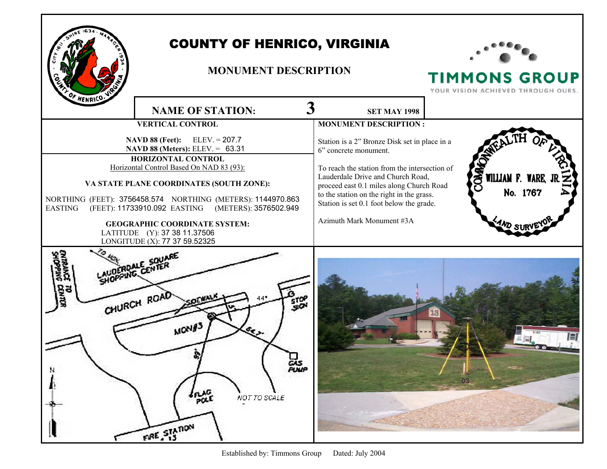

## COUNTY OF HENRICO, VIRGINIA

#### **MONUMENT DESCRIPTION**



### **TIMMONS GROUP**

YOUR VISION ACHIEVED THROUGH OURS.